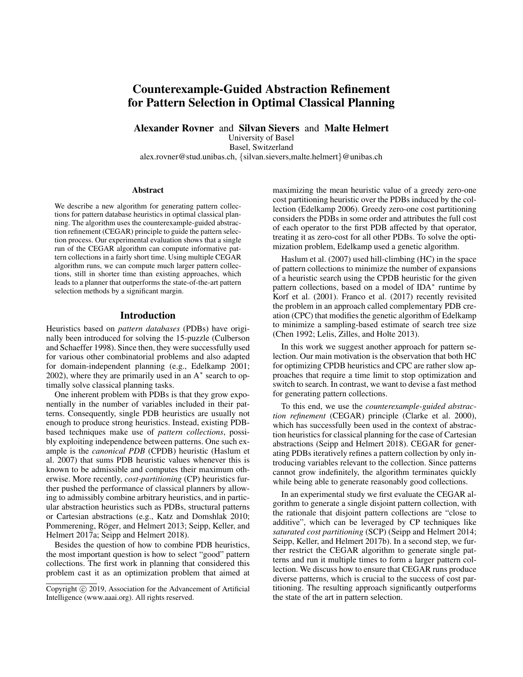# Counterexample-Guided Abstraction Refinement for Pattern Selection in Optimal Classical Planning

Alexander Rovner and Silvan Sievers and Malte Helmert

University of Basel

Basel, Switzerland alex.rovner@stud.unibas.ch, {silvan.sievers,malte.helmert}@unibas.ch

#### Abstract

We describe a new algorithm for generating pattern collections for pattern database heuristics in optimal classical planning. The algorithm uses the counterexample-guided abstraction refinement (CEGAR) principle to guide the pattern selection process. Our experimental evaluation shows that a single run of the CEGAR algorithm can compute informative pattern collections in a fairly short time. Using multiple CEGAR algorithm runs, we can compute much larger pattern collections, still in shorter time than existing approaches, which leads to a planner that outperforms the state-of-the-art pattern selection methods by a significant margin.

## Introduction

Heuristics based on *pattern databases* (PDBs) have originally been introduced for solving the 15-puzzle (Culberson and Schaeffer 1998). Since then, they were successfully used for various other combinatorial problems and also adapted for domain-independent planning (e.g., Edelkamp 2001; 2002), where they are primarily used in an  $A^*$  search to optimally solve classical planning tasks.

One inherent problem with PDBs is that they grow exponentially in the number of variables included in their patterns. Consequently, single PDB heuristics are usually not enough to produce strong heuristics. Instead, existing PDBbased techniques make use of *pattern collections*, possibly exploiting independence between patterns. One such example is the *canonical PDB* (CPDB) heuristic (Haslum et al. 2007) that sums PDB heuristic values whenever this is known to be admissible and computes their maximum otherwise. More recently, *cost-partitioning* (CP) heuristics further pushed the performance of classical planners by allowing to admissibly combine arbitrary heuristics, and in particular abstraction heuristics such as PDBs, structural patterns or Cartesian abstractions (e.g., Katz and Domshlak 2010; Pommerening, Röger, and Helmert 2013; Seipp, Keller, and Helmert 2017a; Seipp and Helmert 2018).

Besides the question of how to combine PDB heuristics, the most important question is how to select "good" pattern collections. The first work in planning that considered this problem cast it as an optimization problem that aimed at

maximizing the mean heuristic value of a greedy zero-one cost partitioning heuristic over the PDBs induced by the collection (Edelkamp 2006). Greedy zero-one cost partitioning considers the PDBs in some order and attributes the full cost of each operator to the first PDB affected by that operator, treating it as zero-cost for all other PDBs. To solve the optimization problem, Edelkamp used a genetic algorithm.

Haslum et al. (2007) used hill-climbing (HC) in the space of pattern collections to minimize the number of expansions of a heuristic search using the CPDB heuristic for the given pattern collections, based on a model of IDA<sup>\*</sup> runtime by Korf et al. (2001). Franco et al. (2017) recently revisited the problem in an approach called complementary PDB creation (CPC) that modifies the genetic algorithm of Edelkamp to minimize a sampling-based estimate of search tree size (Chen 1992; Lelis, Zilles, and Holte 2013).

In this work we suggest another approach for pattern selection. Our main motivation is the observation that both HC for optimizing CPDB heuristics and CPC are rather slow approaches that require a time limit to stop optimization and switch to search. In contrast, we want to devise a fast method for generating pattern collections.

To this end, we use the *counterexample-guided abstraction refinement* (CEGAR) principle (Clarke et al. 2000), which has successfully been used in the context of abstraction heuristics for classical planning for the case of Cartesian abstractions (Seipp and Helmert 2018). CEGAR for generating PDBs iteratively refines a pattern collection by only introducing variables relevant to the collection. Since patterns cannot grow indefinitely, the algorithm terminates quickly while being able to generate reasonably good collections.

In an experimental study we first evaluate the CEGAR algorithm to generate a single disjoint pattern collection, with the rationale that disjoint pattern collections are "close to additive", which can be leveraged by CP techniques like *saturated cost partitioning* (SCP) (Seipp and Helmert 2014; Seipp, Keller, and Helmert 2017b). In a second step, we further restrict the CEGAR algorithm to generate single patterns and run it multiple times to form a larger pattern collection. We discuss how to ensure that CEGAR runs produce diverse patterns, which is crucial to the success of cost partitioning. The resulting approach significantly outperforms the state of the art in pattern selection.

Copyright (c) 2019, Association for the Advancement of Artificial Intelligence (www.aaai.org). All rights reserved.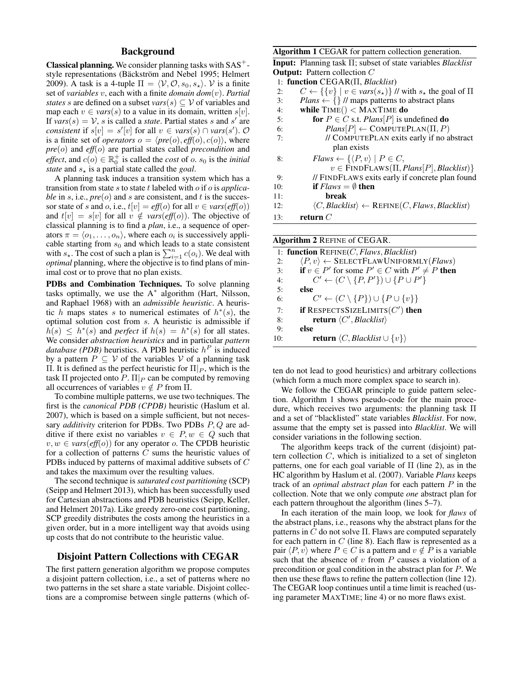## Background

**Classical planning.** We consider planning tasks with  $SAS^+$ style representations (Bäckström and Nebel 1995; Helmert 2009). A task is a 4-tuple  $\Pi = \langle V, O, s_0, s_* \rangle$ . V is a finite set of *variables* v, each with a finite *domain dom*(v). *Partial states* s are defined on a subset  $vars(s) \subseteq V$  of variables and map each  $v \in vars(s)$  to a value in its domain, written  $s[v]$ . If  $vars(s) = V$ , s is called a *state*. Partial states s and s' are *consistent* if  $s[v] = s'[v]$  for all  $v \in vars(s) \cap vars(s')$ . O is a finite set of *operators*  $o = \langle pre(o), eff(o), c(o) \rangle$ , where *pre*(o) and *eff*(o) are partial states called *precondition* and *effect*, and  $c(o) \in \mathbb{R}_0^+$  is called the *cost* of *o*.  $s_0$  is the *initial state* and  $s<sub>*</sub>$  is a partial state called the *goal*.

A planning task induces a transition system which has a transition from state s to state t labeled with o if o is *applicable* in s, i.e.,  $pre(o)$  and s are consistent, and t is the successor state of s and o, i.e.,  $t[v] = eff(o)$  for all  $v \in vars(eff(o))$ and  $t[v] = s[v]$  for all  $v \notin vars(eff(o))$ . The objective of classical planning is to find a *plan*, i.e., a sequence of operators  $\pi = \langle o_1, \ldots, o_n \rangle$ , where each  $o_i$  is successively applicable starting from  $s_0$  and which leads to a state consistent with  $s_{\star}$ . The cost of such a plan is  $\sum_{i=1}^{n} c(o_i)$ . We deal with *optimal* planning, where the objective is to find plans of minimal cost or to prove that no plan exists.

PDBs and Combination Techniques. To solve planning tasks optimally, we use the  $A^*$  algorithm (Hart, Nilsson, and Raphael 1968) with an *admissible heuristic*. A heuristic h maps states s to numerical estimates of  $h^*(s)$ , the optimal solution cost from s. A heuristic is admissible if  $\hat{h}(s) \leq h^{*}(s)$  and *perfect* if  $h(s) = h^{*}(s)$  for all states. We consider *abstraction heuristics* and in particular *pattern database (PDB)* heuristics. A PDB heuristic  $h^P$  is induced by a pattern  $P \subseteq V$  of the variables V of a planning task Π. It is defined as the perfect heuristic for  $\Pi|_P$ , which is the task  $\Pi$  projected onto P.  $\Pi|_P$  can be computed by removing all occurrences of variables  $v \notin P$  from Π.

To combine multiple patterns, we use two techniques. The first is the *canonical PDB (CPDB)* heuristic (Haslum et al. 2007), which is based on a simple sufficient, but not necessary *additivity* criterion for PDBs. Two PDBs P, Q are additive if there exist no variables  $v \in P$ ,  $w \in Q$  such that  $v, w \in vars(eff(o))$  for any operator *o*. The CPDB heuristic for a collection of patterns C sums the heuristic values of PDBs induced by patterns of maximal additive subsets of C and takes the maximum over the resulting values.

The second technique is *saturated cost partitioning* (SCP) (Seipp and Helmert 2013), which has been successfully used for Cartesian abstractions and PDB heuristics (Seipp, Keller, and Helmert 2017a). Like greedy zero-one cost partitioning, SCP greedily distributes the costs among the heuristics in a given order, but in a more intelligent way that avoids using up costs that do not contribute to the heuristic value.

#### Disjoint Pattern Collections with CEGAR

The first pattern generation algorithm we propose computes a disjoint pattern collection, i.e., a set of patterns where no two patterns in the set share a state variable. Disjoint collections are a compromise between single patterns (which of-

#### Algorithm 1 CEGAR for pattern collection generation.

Input: Planning task Π; subset of state variables *Blacklist* **Output:** Pattern collection C

- 1: function CEGAR(Π, *Blacklist*) 2:  $C \leftarrow \{\{v\} \mid v \in vars(s_{\star})\}$  // with  $s_{\star}$  the goal of  $\Pi$ 3: *Plans*  $\leftarrow$  {} // maps patterns to abstract plans 4: while  $\text{TIME}() < \text{MAXTIME}$  do 5: **for**  $P \in C$  s.t. *Plans* $[P]$  is undefined **do** 6:  $PlanS[P] \leftarrow \text{COMPUTEPLAN}(\Pi, P)$ 7: // COMPUTEPLAN exits early if no abstract plan exists 8: **Flaws**  $\leftarrow \{\langle P, v\rangle \mid P \in C,$
- $v \in$  FINDFLAWS( $\Pi$ , *Plans*[ $P$ ], *Blacklist*)} 9: // FINDFLAWS exits early if concrete plan found 10: **if**  $Flaws = \emptyset$  then 11: break 12:  $\langle C, Blacklist \rangle \leftarrow \text{REFINE}(C, Flaws, Blacklist)$ 13: return C

|     | Algorithm 2 REFINE of CEGAR.                                           |  |  |  |  |  |  |  |
|-----|------------------------------------------------------------------------|--|--|--|--|--|--|--|
|     | 1: function $REFINE(C, Flaws, Blacklist)$                              |  |  |  |  |  |  |  |
| 2:  | $\langle P, v \rangle \leftarrow$ SELECTFLAWUNIFORMLY ( <i>Flaws</i> ) |  |  |  |  |  |  |  |
| 3:  | if $v \in P'$ for some $P' \in C$ with $P' \neq P$ then                |  |  |  |  |  |  |  |
| 4:  | $C' \leftarrow (C \setminus \{P, P'\}) \cup \{P \cup P'\}$             |  |  |  |  |  |  |  |
| 5:  | else                                                                   |  |  |  |  |  |  |  |
| 6:  | $C' \leftarrow (C \setminus \{P\}) \cup \{P \cup \{v\}\}\$             |  |  |  |  |  |  |  |
| 7:  | if RESPECTSSIZELIMITS $(C')$ then                                      |  |  |  |  |  |  |  |
| 8:  | return $\langle C', Blacklist \rangle$                                 |  |  |  |  |  |  |  |
| 9:  | else                                                                   |  |  |  |  |  |  |  |
| 10: | <b>return</b> $\langle C, Blacklist \cup \{v\} \rangle$                |  |  |  |  |  |  |  |
|     |                                                                        |  |  |  |  |  |  |  |

ten do not lead to good heuristics) and arbitrary collections (which form a much more complex space to search in).

We follow the CEGAR principle to guide pattern selection. Algorithm 1 shows pseudo-code for the main procedure, which receives two arguments: the planning task Π and a set of "blacklisted" state variables *Blacklist*. For now, assume that the empty set is passed into *Blacklist*. We will consider variations in the following section.

The algorithm keeps track of the current (disjoint) pattern collection  $C$ , which is initialized to a set of singleton patterns, one for each goal variable of  $\Pi$  (line 2), as in the HC algorithm by Haslum et al. (2007). Variable *Plans* keeps track of an *optimal abstract plan* for each pattern P in the collection. Note that we only compute *one* abstract plan for each pattern throughout the algorithm (lines 5–7).

In each iteration of the main loop, we look for *flaws* of the abstract plans, i.e., reasons why the abstract plans for the patterns in  $C$  do not solve  $\Pi$ . Flaws are computed separately for each pattern in  $C$  (line 8). Each flaw is represented as a pair  $\langle P, v \rangle$  where  $P \in C$  is a pattern and  $v \notin P$  is a variable such that the absence of  $v$  from  $P$  causes a violation of a precondition or goal condition in the abstract plan for P. We then use these flaws to refine the pattern collection (line 12). The CEGAR loop continues until a time limit is reached (using parameter MAXTIME; line 4) or no more flaws exist.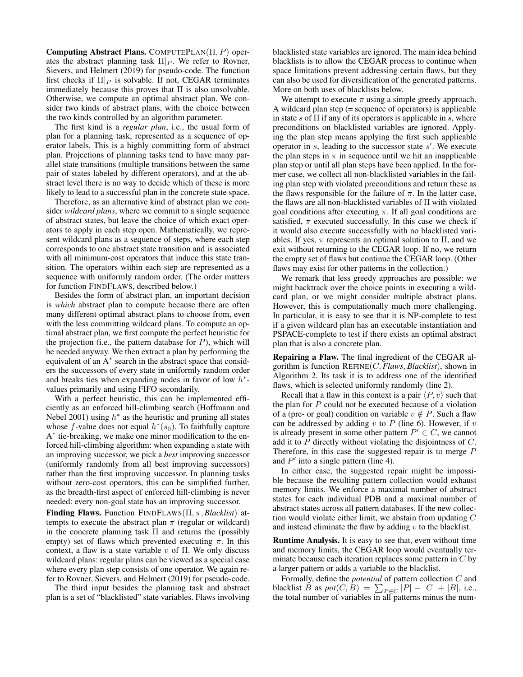Computing Abstract Plans. COMPUTEPLAN( $\Pi$ , P) operates the abstract planning task  $\Pi|_P$ . We refer to Rovner, Sievers, and Helmert (2019) for pseudo-code. The function first checks if  $\Pi|_P$  is solvable. If not, CEGAR terminates immediately because this proves that  $\Pi$  is also unsolvable. Otherwise, we compute an optimal abstract plan. We consider two kinds of abstract plans, with the choice between the two kinds controlled by an algorithm parameter.

The first kind is a *regular plan*, i.e., the usual form of plan for a planning task, represented as a sequence of operator labels. This is a highly committing form of abstract plan. Projections of planning tasks tend to have many parallel state transitions (multiple transitions between the same pair of states labeled by different operators), and at the abstract level there is no way to decide which of these is more likely to lead to a successful plan in the concrete state space.

Therefore, as an alternative kind of abstract plan we consider *wildcard plans*, where we commit to a single sequence of abstract states, but leave the choice of which exact operators to apply in each step open. Mathematically, we represent wildcard plans as a sequence of steps, where each step corresponds to one abstract state transition and is associated with all minimum-cost operators that induce this state transition. The operators within each step are represented as a sequence with uniformly random order. (The order matters for function FINDFLAWS, described below.)

Besides the form of abstract plan, an important decision is *which* abstract plan to compute because there are often many different optimal abstract plans to choose from, even with the less committing wildcard plans. To compute an optimal abstract plan, we first compute the perfect heuristic for the projection (i.e., the pattern database for  $P$ ), which will be needed anyway. We then extract a plan by performing the equivalent of an  $A^*$  search in the abstract space that considers the successors of every state in uniformly random order and breaks ties when expanding nodes in favor of low  $h^*$ values primarily and using FIFO secondarily.

With a perfect heuristic, this can be implemented efficiently as an enforced hill-climbing search (Hoffmann and Nebel 2001) using  $h^*$  as the heuristic and pruning all states whose f-value does not equal  $h^*(s_0)$ . To faithfully capture A<sup>\*</sup> tie-breaking, we make one minor modification to the enforced hill-climbing algorithm: when expanding a state with an improving successor, we pick a *best* improving successor (uniformly randomly from all best improving successors) rather than the first improving successor. In planning tasks without zero-cost operators, this can be simplified further, as the breadth-first aspect of enforced hill-climbing is never needed: every non-goal state has an improving successor.

Finding Flaws. Function FINDFLAWS(Π, π, *Blacklist*) attempts to execute the abstract plan  $\pi$  (regular or wildcard) in the concrete planning task  $\Pi$  and returns the (possibly empty) set of flaws which prevented executing  $\pi$ . In this context, a flaw is a state variable  $v$  of  $\Pi$ . We only discuss wildcard plans: regular plans can be viewed as a special case where every plan step consists of one operator. We again refer to Rovner, Sievers, and Helmert (2019) for pseudo-code.

The third input besides the planning task and abstract plan is a set of "blacklisted" state variables. Flaws involving blacklisted state variables are ignored. The main idea behind blacklists is to allow the CEGAR process to continue when space limitations prevent addressing certain flaws, but they can also be used for diversification of the generated patterns. More on both uses of blacklists below.

We attempt to execute  $\pi$  using a simple greedy approach. A wildcard plan step (= sequence of operators) is applicable in state s of  $\Pi$  if any of its operators is applicable in s, where preconditions on blacklisted variables are ignored. Applying the plan step means applying the first such applicable operator in  $s$ , leading to the successor state  $s'$ . We execute the plan steps in  $\pi$  in sequence until we hit an inapplicable plan step or until all plan steps have been applied. In the former case, we collect all non-blacklisted variables in the failing plan step with violated preconditions and return these as the flaws responsible for the failure of  $\pi$ . In the latter case, the flaws are all non-blacklisted variables of Π with violated goal conditions after executing  $\pi$ . If all goal conditions are satisfied,  $\pi$  executed successfully. In this case we check if it would also execute successfully with no blacklisted variables. If yes,  $\pi$  represents an optimal solution to  $\Pi$ , and we exit without returning to the CEGAR loop. If no, we return the empty set of flaws but continue the CEGAR loop. (Other flaws may exist for other patterns in the collection.)

We remark that less greedy approaches are possible: we might backtrack over the choice points in executing a wildcard plan, or we might consider multiple abstract plans. However, this is computationally much more challenging. In particular, it is easy to see that it is NP-complete to test if a given wildcard plan has an executable instantiation and PSPACE-complete to test if there exists an optimal abstract plan that is also a concrete plan.

Repairing a Flaw. The final ingredient of the CEGAR algorithm is function REFINE(C, *Flaws*, *Blacklist*), shown in Algorithm 2. Its task it is to address one of the identified flaws, which is selected uniformly randomly (line 2).

Recall that a flaw in this context is a pair  $\langle P, v \rangle$  such that the plan for  $P$  could not be executed because of a violation of a (pre- or goal) condition on variable  $v \notin P$ . Such a flaw can be addressed by adding  $v$  to  $P$  (line 6). However, if  $v$ is already present in some other pattern  $P' \in C$ , we cannot add it to  $P$  directly without violating the disjointness of  $C$ . Therefore, in this case the suggested repair is to merge  $P$ and  $P'$  into a single pattern (line 4).

In either case, the suggested repair might be impossible because the resulting pattern collection would exhaust memory limits. We enforce a maximal number of abstract states for each individual PDB and a maximal number of abstract states across all pattern databases. If the new collection would violate either limit, we abstain from updating C and instead eliminate the flaw by adding  $v$  to the blacklist.

Runtime Analysis. It is easy to see that, even without time and memory limits, the CEGAR loop would eventually terminate because each iteration replaces some pattern in  $C$  by a larger pattern or adds a variable to the blacklist.

Formally, define the *potential* of pattern collection C and blacklist *B* as  $pot(C, B) = \sum_{P \in C} |P| - |C| + |B|$ , i.e., the total number of variables in all patterns minus the num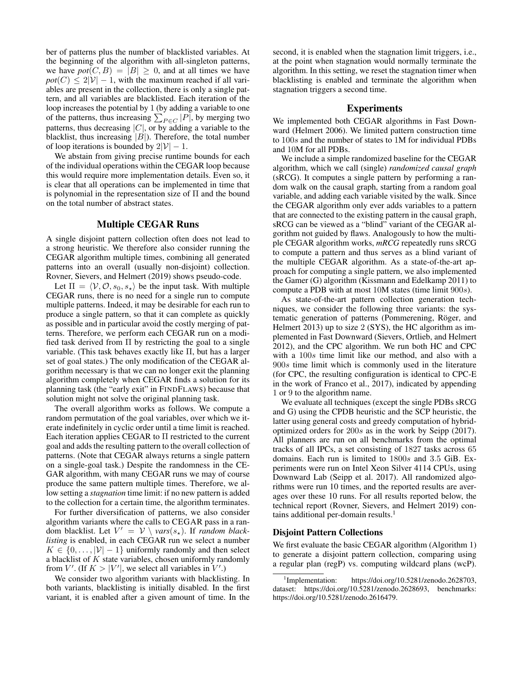ber of patterns plus the number of blacklisted variables. At the beginning of the algorithm with all-singleton patterns, we have  $pot(C, B) = |B| \geq 0$ , and at all times we have  $pot(C) \leq 2|\mathcal{V}| - 1$ , with the maximum reached if all variables are present in the collection, there is only a single pattern, and all variables are blacklisted. Each iteration of the loop increases the potential by 1 (by adding a variable to one of the patterns, thus increasing  $\sum_{P \in C} |P|$ , by merging two patterns, thus decreasing  $|C|$ , or by adding a variable to the blacklist, thus increasing  $|B|$ ). Therefore, the total number of loop iterations is bounded by  $2|\mathcal{V}| - 1$ .

We abstain from giving precise runtime bounds for each of the individual operations within the CEGAR loop because this would require more implementation details. Even so, it is clear that all operations can be implemented in time that is polynomial in the representation size of  $\Pi$  and the bound on the total number of abstract states.

## Multiple CEGAR Runs

A single disjoint pattern collection often does not lead to a strong heuristic. We therefore also consider running the CEGAR algorithm multiple times, combining all generated patterns into an overall (usually non-disjoint) collection. Rovner, Sievers, and Helmert (2019) shows pseudo-code.

Let  $\Pi = \langle V, O, s_0, s_* \rangle$  be the input task. With multiple CEGAR runs, there is no need for a single run to compute multiple patterns. Indeed, it may be desirable for each run to produce a single pattern, so that it can complete as quickly as possible and in particular avoid the costly merging of patterns. Therefore, we perform each CEGAR run on a modified task derived from  $\Pi$  by restricting the goal to a single variable. (This task behaves exactly like Π, but has a larger set of goal states.) The only modification of the CEGAR algorithm necessary is that we can no longer exit the planning algorithm completely when CEGAR finds a solution for its planning task (the "early exit" in FINDFLAWS) because that solution might not solve the original planning task.

The overall algorithm works as follows. We compute a random permutation of the goal variables, over which we iterate indefinitely in cyclic order until a time limit is reached. Each iteration applies CEGAR to Π restricted to the current goal and adds the resulting pattern to the overall collection of patterns. (Note that CEGAR always returns a single pattern on a single-goal task.) Despite the randomness in the CE-GAR algorithm, with many CEGAR runs we may of course produce the same pattern multiple times. Therefore, we allow setting a *stagnation* time limit: if no new pattern is added to the collection for a certain time, the algorithm terminates.

For further diversification of patterns, we also consider algorithm variants where the calls to CEGAR pass in a random blacklist. Let  $V' = V \setminus vars(s_*)$ . If *random blacklisting* is enabled, in each CEGAR run we select a number  $K \in \{0, \ldots, |\mathcal{V}| - 1\}$  uniformly randomly and then select a blacklist of K state variables, chosen uniformly randomly from V'. (If  $K > |V'|$ , we select all variables in V'.)

We consider two algorithm variants with blacklisting. In both variants, blacklisting is initially disabled. In the first variant, it is enabled after a given amount of time. In the

second, it is enabled when the stagnation limit triggers, i.e., at the point when stagnation would normally terminate the algorithm. In this setting, we reset the stagnation timer when blacklisting is enabled and terminate the algorithm when stagnation triggers a second time.

#### Experiments

We implemented both CEGAR algorithms in Fast Downward (Helmert 2006). We limited pattern construction time to 100s and the number of states to 1M for individual PDBs and 10M for all PDBs.

We include a simple randomized baseline for the CEGAR algorithm, which we call (single) *randomized causal graph* (sRCG). It computes a single pattern by performing a random walk on the causal graph, starting from a random goal variable, and adding each variable visited by the walk. Since the CEGAR algorithm only ever adds variables to a pattern that are connected to the existing pattern in the causal graph, sRCG can be viewed as a "blind" variant of the CEGAR algorithm not guided by flaws. Analogously to how the multiple CEGAR algorithm works, *mRCG* repeatedly runs sRCG to compute a pattern and thus serves as a blind variant of the multiple CEGAR algorithm. As a state-of-the-art approach for computing a single pattern, we also implemented the Gamer (G) algorithm (Kissmann and Edelkamp 2011) to compute a PDB with at most 10M states (time limit 900s).

As state-of-the-art pattern collection generation techniques, we consider the following three variants: the systematic generation of patterns (Pommerening, Röger, and Helmert 2013) up to size 2 (SYS), the HC algorithm as implemented in Fast Downward (Sievers, Ortlieb, and Helmert 2012), and the CPC algorithm. We run both HC and CPC with a  $100s$  time limit like our method, and also with a 900s time limit which is commonly used in the literature (for CPC, the resulting configuration is identical to CPC-E in the work of Franco et al., 2017), indicated by appending 1 or 9 to the algorithm name.

We evaluate all techniques (except the single PDBs sRCG and G) using the CPDB heuristic and the SCP heuristic, the latter using general costs and greedy computation of hybridoptimized orders for 200s as in the work by Seipp (2017). All planners are run on all benchmarks from the optimal tracks of all IPCs, a set consisting of 1827 tasks across 65 domains. Each run is limited to 1800s and 3.5 GiB. Experiments were run on Intel Xeon Silver 4114 CPUs, using Downward Lab (Seipp et al. 2017). All randomized algorithms were run 10 times, and the reported results are averages over these 10 runs. For all results reported below, the technical report (Rovner, Sievers, and Helmert 2019) contains additional per-domain results. $<sup>1</sup>$ </sup>

#### Disjoint Pattern Collections

We first evaluate the basic CEGAR algorithm (Algorithm 1) to generate a disjoint pattern collection, comparing using a regular plan (regP) vs. computing wildcard plans (wcP).

 $1$ Implementation: https://doi.org/10.5281/zenodo.2628703. dataset: https://doi.org/10.5281/zenodo.2628693, benchmarks: https://doi.org/10.5281/zenodo.2616479.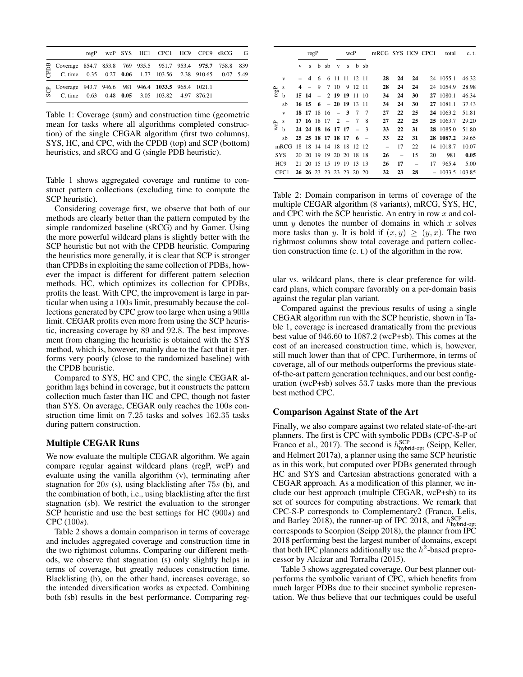|                                                                                                                          |  |  | regP wcP SYS HC1 CPC1 HC9 CPC9 sRCG G |  |  |
|--------------------------------------------------------------------------------------------------------------------------|--|--|---------------------------------------|--|--|
| m Coverage 854.7 853.8 769 935.5 951.7 953.4 975.7 758.8 839<br>C. time 0.35 0.27 0.06 1.77 103.56 2.38 910.65 0.07 5.49 |  |  |                                       |  |  |
| Coverage 943.7 946.6 981 946.4 1033.5 965.4 1021.1<br>C. time 0.63 0.48 0.05 3.05 103.82 4.97 876.21                     |  |  |                                       |  |  |

Table 1: Coverage (sum) and construction time (geometric mean for tasks where all algorithms completed construction) of the single CEGAR algorithm (first two columns), SYS, HC, and CPC, with the CPDB (top) and SCP (bottom) heuristics, and sRCG and G (single PDB heuristic).

Table 1 shows aggregated coverage and runtime to construct pattern collections (excluding time to compute the SCP heuristic).

Considering coverage first, we observe that both of our methods are clearly better than the pattern computed by the simple randomized baseline (sRCG) and by Gamer. Using the more powerful wildcard plans is slightly better with the SCP heuristic but not with the CPDB heuristic. Comparing the heuristics more generally, it is clear that SCP is stronger than CPDBs in exploiting the same collection of PDBs, however the impact is different for different pattern selection methods. HC, which optimizes its collection for CPDBs, profits the least. With CPC, the improvement is large in particular when using a 100s limit, presumably because the collections generated by CPC grow too large when using a 900s limit. CEGAR profits even more from using the SCP heuristic, increasing coverage by 89 and 92.8. The best improvement from changing the heuristic is obtained with the SYS method, which is, however, mainly due to the fact that it performs very poorly (close to the randomized baseline) with the CPDB heuristic.

Compared to SYS, HC and CPC, the single CEGAR algorithm lags behind in coverage, but it constructs the pattern collection much faster than HC and CPC, though not faster than SYS. On average, CEGAR only reaches the 100s construction time limit on 7.25 tasks and solves 162.35 tasks during pattern construction.

#### Multiple CEGAR Runs

We now evaluate the multiple CEGAR algorithm. We again compare regular against wildcard plans (regP, wcP) and evaluate using the vanilla algorithm (v), terminating after stagnation for 20s (s), using blacklisting after 75s (b), and the combination of both, i.e., using blacklisting after the first stagnation (sb). We restrict the evaluation to the stronger SCP heuristic and use the best settings for HC (900s) and CPC (100s).

Table 2 shows a domain comparison in terms of coverage and includes aggregated coverage and construction time in the two rightmost columns. Comparing our different methods, we observe that stagnation (s) only slightly helps in terms of coverage, but greatly reduces construction time. Blacklisting (b), on the other hand, increases coverage, so the intended diversification works as expected. Combining both (sb) results in the best performance. Comparing reg-

|              |                  | regP |       |             | wcP                  |                          |       | mRCG SYS HC9 CPC1 |               |    |    | total                    | c. t. |           |        |
|--------------|------------------|------|-------|-------------|----------------------|--------------------------|-------|-------------------|---------------|----|----|--------------------------|-------|-----------|--------|
|              |                  | V    | s     | b           | sb                   | V                        | s     | b                 | -sb           |    |    |                          |       |           |        |
|              | V                |      | 4     | 6           | 6                    | -11                      | -11   | 12                | -11           | 28 | 24 | 24                       |       | 24 1055.1 | 46.32  |
|              | S                | 4    |       | 9           | 7                    | -10                      | 9     | 12                | -11           | 28 | 24 | 24                       | 24    | 1054.9    | 28.98  |
| ${\rm regP}$ | b                |      | 15 14 |             |                      | 2 19 19                  |       | -11               | 10            | 34 | 24 | 30                       | 27    | 1080.1    | 46.34  |
|              | sb               |      | 16 15 | 6           |                      | $-2019$                  |       | 13                | 11            | 34 | 24 | 30                       | 27    | 1081.1    | 37.43  |
|              | $\mathbf{V}$     |      | 18 17 | -18         | -16                  | $\overline{\phantom{a}}$ | 3     | 7                 | 7             | 27 | 22 | 25                       |       | 24 1063.2 | 51.81  |
|              | S                |      |       | 17 16 18 17 |                      | 2                        |       | $\overline{7}$    | 8             | 27 | 22 | 25                       |       | 25 1063.7 | 29.20  |
| wcP          | h                |      |       |             | 24 24 18 16 17 17    |                          |       |                   | $\mathcal{R}$ | 33 | 22 | 31                       |       | 28 1085.0 | 51.80  |
|              | sb               |      |       |             | 25 25 18 17 18 17    |                          |       | 6                 |               | 33 | 22 | 31                       |       | 28 1087.2 | 39.65  |
|              | mRCG             | 18   |       | 18 14       | 14 18                |                          | -18   | 12                | -12           |    | 17 | 22                       | 14    | 1018.7    | 10.07  |
|              | <b>SYS</b>       |      | 20 20 | -19         | 19                   |                          | 20 20 | 18                | 18            | 26 |    | 15                       | 20    | 981       | 0.05   |
|              | HC <sub>9</sub>  |      |       |             | 21 20 15 15 19       |                          | 19    | 13                | -13           | 26 | 17 | $\overline{\phantom{0}}$ | 17    | 965.4     | 5.00   |
|              | CPC <sub>1</sub> |      |       |             | 26 26 23 23 23 23 20 |                          |       |                   | 20            | 32 | 23 | 28                       |       | 1033.5    | 103.85 |

Table 2: Domain comparison in terms of coverage of the multiple CEGAR algorithm (8 variants), mRCG, SYS, HC, and CPC with the SCP heuristic. An entry in row  $x$  and column  $y$  denotes the number of domains in which  $x$  solves more tasks than y. It is bold if  $(x, y) \ge (y, x)$ . The two rightmost columns show total coverage and pattern collection construction time (c. t.) of the algorithm in the row.

ular vs. wildcard plans, there is clear preference for wildcard plans, which compare favorably on a per-domain basis against the regular plan variant.

Compared against the previous results of using a single CEGAR algorithm run with the SCP heuristic, shown in Table 1, coverage is increased dramatically from the previous best value of 946.60 to 1087.2 (wcP+sb). This comes at the cost of an increased construction time, which is, however, still much lower than that of CPC. Furthermore, in terms of coverage, all of our methods outperforms the previous stateof-the-art pattern generation techniques, and our best configuration (wcP+sb) solves 53.7 tasks more than the previous best method CPC.

## Comparison Against State of the Art

Finally, we also compare against two related state-of-the-art planners. The first is CPC with symbolic PDBs (CPC-S-P of Franco et al., 2017). The second is  $h_{\text{hybrid-opt}}^{\text{SCP}}$  (Seipp, Keller, and Helmert 2017a), a planner using the same SCP heuristic as in this work, but computed over PDBs generated through HC and SYS and Cartesian abstractions generated with a CEGAR approach. As a modification of this planner, we include our best approach (multiple CEGAR, wcP+sb) to its set of sources for computing abstractions. We remark that CPC-S-P corresponds to Complementary2 (Franco, Lelis, and Barley 2018), the runner-up of IPC 2018, and  $h^{\text{SCP}}_{\text{hybrid-opt}}$ corresponds to Scorpion (Seipp 2018), the planner from IPC 2018 performing best the largest number of domains, except that both IPC planners additionally use the  $h^2$ -based preprocessor by Alcázar and Torralba (2015).

Table 3 shows aggregated coverage. Our best planner outperforms the symbolic variant of CPC, which benefits from much larger PDBs due to their succinct symbolic representation. We thus believe that our techniques could be useful